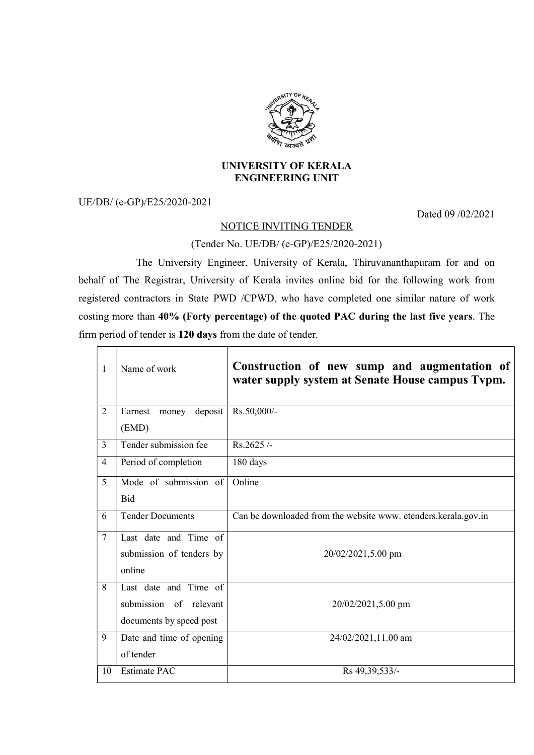

## UNIVERSITY OF KERALA ENGINEERING UNIT

UE/DB/ (e-GP)/E25/2020-2021

Dated 09 /02/2021

## NOTICE INVITING TENDER

## (Tender No. UE/DB/ (e-GP)/E25/2020-2021)

 The University Engineer, University of Kerala, Thiruvananthapuram for and on behalf of The Registrar, University of Kerala invites online bid for the following work from registered contractors in State PWD /CPWD, who have completed one similar nature of work costing more than 40% (Forty percentage) of the quoted PAC during the last five years. The firm period of tender is 120 days from the date of tender.

| $\mathbf{1}$   | Name of work                | Construction of new sump and augmentation of<br>water supply system at Senate House campus Typm. |
|----------------|-----------------------------|--------------------------------------------------------------------------------------------------|
| $\overline{2}$ | deposit<br>Earnest<br>money | Rs.50,000/-                                                                                      |
|                | (EMD)                       |                                                                                                  |
| 3              | Tender submission fee       | $Rs.2625/-$                                                                                      |
| 4              | Period of completion        | 180 days                                                                                         |
| 5              | Mode of submission of       | Online                                                                                           |
|                | <b>Bid</b>                  |                                                                                                  |
| 6              | <b>Tender Documents</b>     | Can be downloaded from the website www. etenders.kerala.gov.in                                   |
| $\overline{7}$ | Last date and Time of       |                                                                                                  |
|                | submission of tenders by    | 20/02/2021,5.00 pm                                                                               |
|                | online                      |                                                                                                  |
| 8              | Last date and Time of       |                                                                                                  |
|                | submission of relevant      | 20/02/2021,5.00 pm                                                                               |
|                | documents by speed post     |                                                                                                  |
| 9              | Date and time of opening    | 24/02/2021,11.00 am                                                                              |
|                | of tender                   |                                                                                                  |
| 10             | <b>Estimate PAC</b>         | Rs 49,39,533/-                                                                                   |